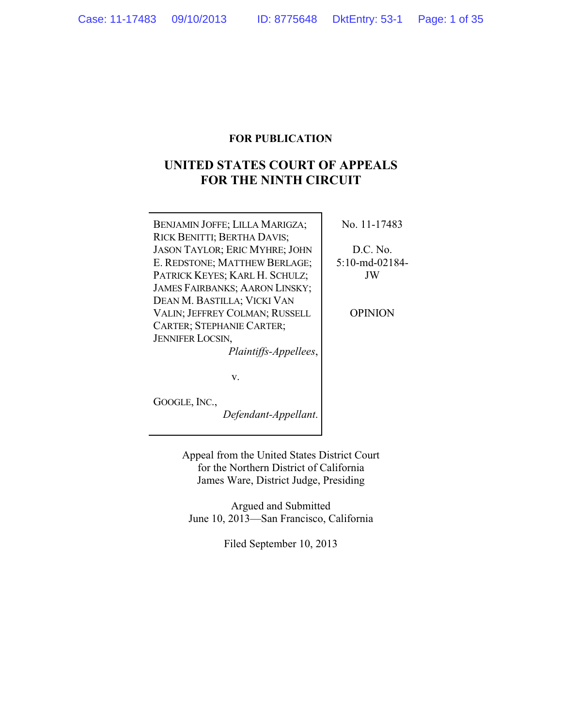# **FOR PUBLICATION**

# **UNITED STATES COURT OF APPEALS FOR THE NINTH CIRCUIT**

| BENJAMIN JOFFE; LILLA MARIGZA;        | No. 11-17483   |
|---------------------------------------|----------------|
| RICK BENITTI; BERTHA DAVIS;           |                |
| <b>JASON TAYLOR; ERIC MYHRE; JOHN</b> | D.C. No.       |
| E. REDSTONE; MATTHEW BERLAGE;         | 5:10-md-02184- |
| PATRICK KEYES; KARL H. SCHULZ;        | JW             |
| <b>JAMES FAIRBANKS; AARON LINSKY;</b> |                |
| DEAN M. BASTILLA; VICKI VAN           |                |
| VALIN; JEFFREY COLMAN; RUSSELL        | OPINION        |
| <b>CARTER; STEPHANIE CARTER;</b>      |                |
| <b>JENNIFER LOCSIN,</b>               |                |
| Plaintiffs-Appellees,                 |                |
|                                       |                |
| v.                                    |                |
|                                       |                |

GOOGLE, INC.,

*Defendant-Appellant*.

Appeal from the United States District Court for the Northern District of California James Ware, District Judge, Presiding

Argued and Submitted June 10, 2013—San Francisco, California

Filed September 10, 2013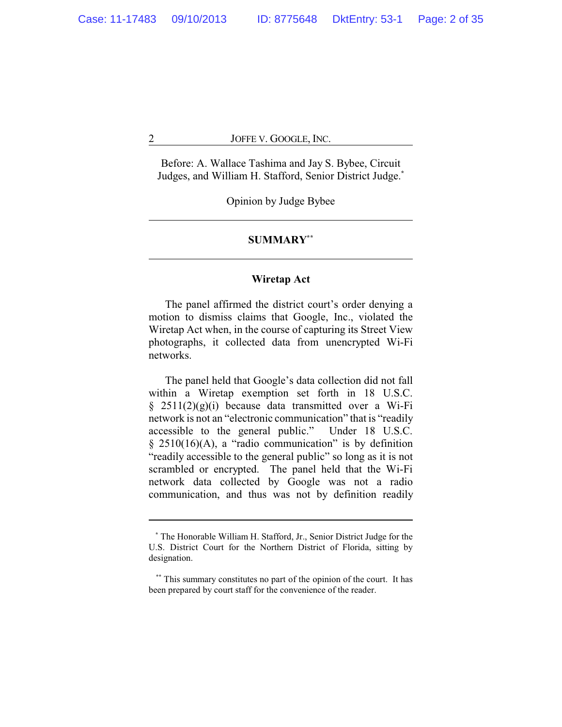Before: A. Wallace Tashima and Jay S. Bybee, Circuit Judges, and William H. Stafford, Senior District Judge.**\***

Opinion by Judge Bybee

# **SUMMARY\*\***

# **Wiretap Act**

The panel affirmed the district court's order denying a motion to dismiss claims that Google, Inc., violated the Wiretap Act when, in the course of capturing its Street View photographs, it collected data from unencrypted Wi-Fi networks.

The panel held that Google's data collection did not fall within a Wiretap exemption set forth in 18 U.S.C.  $§$  2511(2)(g)(i) because data transmitted over a Wi-Fi network is not an "electronic communication" that is "readily accessible to the general public." Under 18 U.S.C.  $§$  2510(16)(A), a "radio communication" is by definition "readily accessible to the general public" so long as it is not scrambled or encrypted. The panel held that the Wi-Fi network data collected by Google was not a radio communication, and thus was not by definition readily

**<sup>\*</sup>** The Honorable William H. Stafford, Jr., Senior District Judge for the U.S. District Court for the Northern District of Florida, sitting by designation.

**<sup>\*\*</sup>** This summary constitutes no part of the opinion of the court. It has been prepared by court staff for the convenience of the reader.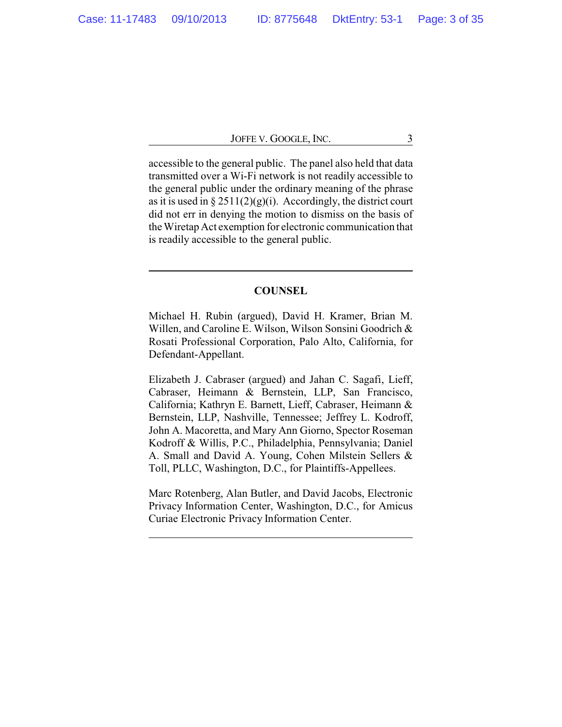accessible to the general public. The panel also held that data transmitted over a Wi-Fi network is not readily accessible to the general public under the ordinary meaning of the phrase as it is used in  $\S 2511(2)(g)(i)$ . Accordingly, the district court did not err in denying the motion to dismiss on the basis of the Wiretap Act exemption for electronic communication that is readily accessible to the general public.

## **COUNSEL**

Michael H. Rubin (argued), David H. Kramer, Brian M. Willen, and Caroline E. Wilson, Wilson Sonsini Goodrich & Rosati Professional Corporation, Palo Alto, California, for Defendant-Appellant.

Elizabeth J. Cabraser (argued) and Jahan C. Sagafi, Lieff, Cabraser, Heimann & Bernstein, LLP, San Francisco, California; Kathryn E. Barnett, Lieff, Cabraser, Heimann & Bernstein, LLP, Nashville, Tennessee; Jeffrey L. Kodroff, John A. Macoretta, and Mary Ann Giorno, Spector Roseman Kodroff & Willis, P.C., Philadelphia, Pennsylvania; Daniel A. Small and David A. Young, Cohen Milstein Sellers & Toll, PLLC, Washington, D.C., for Plaintiffs-Appellees.

Marc Rotenberg, Alan Butler, and David Jacobs, Electronic Privacy Information Center, Washington, D.C., for Amicus Curiae Electronic Privacy Information Center.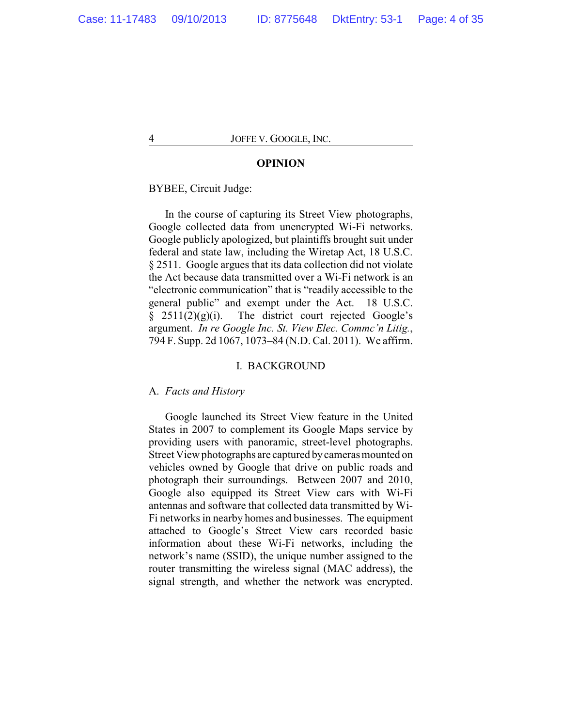#### **OPINION**

BYBEE, Circuit Judge:

In the course of capturing its Street View photographs, Google collected data from unencrypted Wi-Fi networks. Google publicly apologized, but plaintiffs brought suit under federal and state law, including the Wiretap Act, 18 U.S.C. § 2511. Google argues that its data collection did not violate the Act because data transmitted over a Wi-Fi network is an "electronic communication" that is "readily accessible to the general public" and exempt under the Act. 18 U.S.C.  $§$  2511(2)(g)(i). The district court rejected Google's argument. *In re Google Inc. St. View Elec. Commc'n Litig.*, 794 F. Supp. 2d 1067, 1073–84 (N.D. Cal. 2011). We affirm.

#### I. BACKGROUND

#### A. *Facts and History*

Google launched its Street View feature in the United States in 2007 to complement its Google Maps service by providing users with panoramic, street-level photographs. Street View photographs are captured bycameras mounted on vehicles owned by Google that drive on public roads and photograph their surroundings. Between 2007 and 2010, Google also equipped its Street View cars with Wi-Fi antennas and software that collected data transmitted by Wi-Fi networks in nearby homes and businesses. The equipment attached to Google's Street View cars recorded basic information about these Wi-Fi networks, including the network's name (SSID), the unique number assigned to the router transmitting the wireless signal (MAC address), the signal strength, and whether the network was encrypted.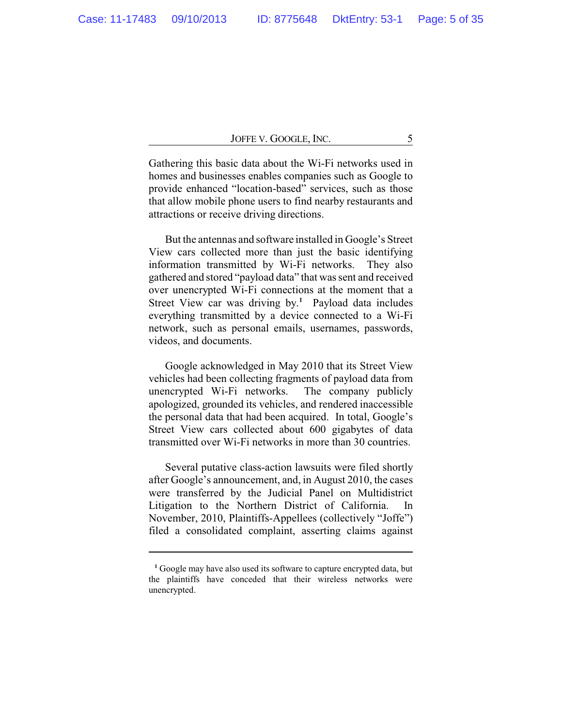Gathering this basic data about the Wi-Fi networks used in homes and businesses enables companies such as Google to provide enhanced "location-based" services, such as those that allow mobile phone users to find nearby restaurants and attractions or receive driving directions.

But the antennas and software installed in Google's Street View cars collected more than just the basic identifying information transmitted by Wi-Fi networks. They also gathered and stored "payload data" that was sent and received over unencrypted Wi-Fi connections at the moment that a Street View car was driving by. **<sup>1</sup>** Payload data includes everything transmitted by a device connected to a Wi-Fi network, such as personal emails, usernames, passwords, videos, and documents.

Google acknowledged in May 2010 that its Street View vehicles had been collecting fragments of payload data from unencrypted Wi-Fi networks. The company publicly apologized, grounded its vehicles, and rendered inaccessible the personal data that had been acquired. In total, Google's Street View cars collected about 600 gigabytes of data transmitted over Wi-Fi networks in more than 30 countries.

Several putative class-action lawsuits were filed shortly after Google's announcement, and, in August 2010, the cases were transferred by the Judicial Panel on Multidistrict Litigation to the Northern District of California. In November, 2010, Plaintiffs-Appellees (collectively "Joffe") filed a consolidated complaint, asserting claims against

**<sup>1</sup>** Google may have also used its software to capture encrypted data, but the plaintiffs have conceded that their wireless networks were unencrypted.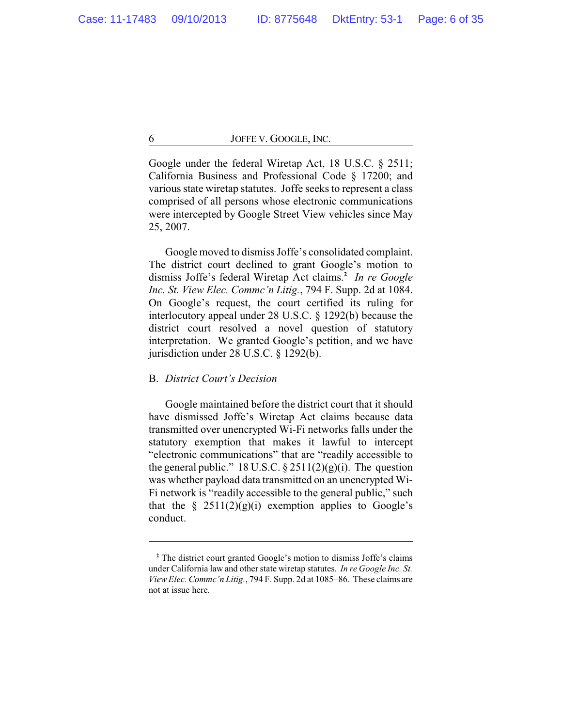Google under the federal Wiretap Act, 18 U.S.C. § 2511; California Business and Professional Code § 17200; and various state wiretap statutes. Joffe seeks to represent a class comprised of all persons whose electronic communications were intercepted by Google Street View vehicles since May 25, 2007.

Google moved to dismiss Joffe's consolidated complaint. The district court declined to grant Google's motion to dismiss Joffe's federal Wiretap Act claims.**<sup>2</sup>** *In re Google Inc. St. View Elec. Commc'n Litig.*, 794 F. Supp. 2d at 1084. On Google's request, the court certified its ruling for interlocutory appeal under 28 U.S.C. § 1292(b) because the district court resolved a novel question of statutory interpretation. We granted Google's petition, and we have jurisdiction under 28 U.S.C. § 1292(b).

# B. *District Court's Decision*

Google maintained before the district court that it should have dismissed Joffe's Wiretap Act claims because data transmitted over unencrypted Wi-Fi networks falls under the statutory exemption that makes it lawful to intercept "electronic communications" that are "readily accessible to the general public." 18 U.S.C.  $\S 2511(2)(g)(i)$ . The question was whether payload data transmitted on an unencrypted Wi-Fi network is "readily accessible to the general public," such that the  $\S$  2511(2)(g)(i) exemption applies to Google's conduct.

**<sup>2</sup>** The district court granted Google's motion to dismiss Joffe's claims under California law and other state wiretap statutes. *In re Google Inc. St. View Elec. Commc'n Litig.*, 794 F. Supp. 2d at 1085–86. These claims are not at issue here.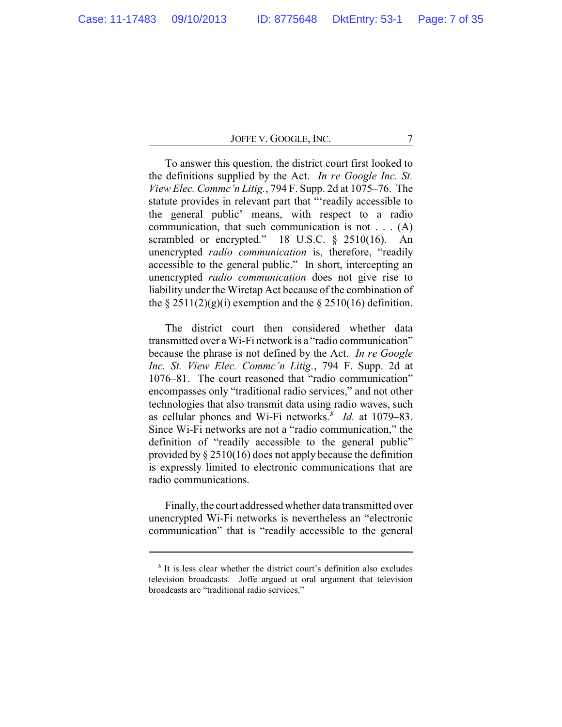To answer this question, the district court first looked to the definitions supplied by the Act. *In re Google Inc. St. View Elec. Commc'n Litig.*, 794 F. Supp. 2d at 1075–76. The statute provides in relevant part that "'readily accessible to the general public' means, with respect to a radio communication, that such communication is not . . . (A) scrambled or encrypted." 18 U.S.C. § 2510(16). An unencrypted *radio communication* is, therefore, "readily accessible to the general public." In short, intercepting an unencrypted *radio communication* does not give rise to liability under the Wiretap Act because of the combination of the  $\S 2511(2)(g)(i)$  exemption and the  $\S 2510(16)$  definition.

The district court then considered whether data transmitted over a Wi-Fi network is a "radio communication" because the phrase is not defined by the Act. *In re Google Inc. St. View Elec. Commc'n Litig.*, 794 F. Supp. 2d at 1076–81. The court reasoned that "radio communication" encompasses only "traditional radio services," and not other technologies that also transmit data using radio waves, such as cellular phones and Wi-Fi networks. **3** *Id.* at 1079–83. Since Wi-Fi networks are not a "radio communication," the definition of "readily accessible to the general public" provided by § 2510(16) does not apply because the definition is expressly limited to electronic communications that are radio communications.

Finally, the court addressed whether data transmitted over unencrypted Wi-Fi networks is nevertheless an "electronic communication" that is "readily accessible to the general

<sup>&</sup>lt;sup>3</sup> It is less clear whether the district court's definition also excludes television broadcasts. Joffe argued at oral argument that television broadcasts are "traditional radio services."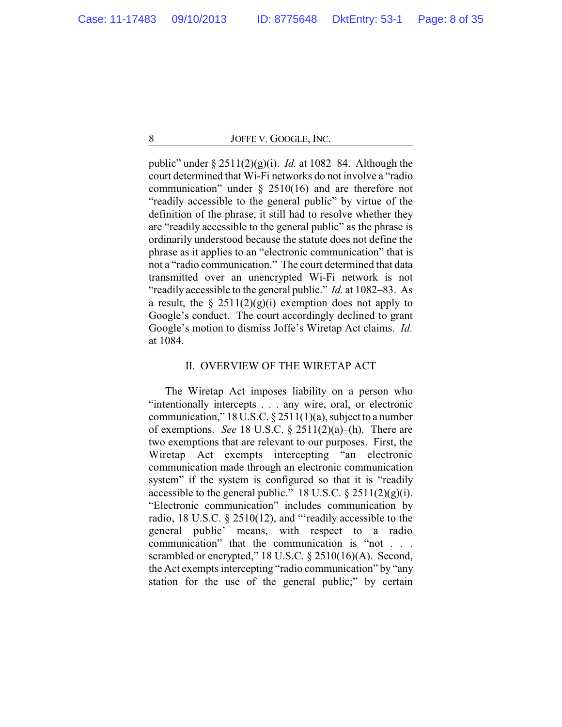public" under § 2511(2)(g)(i). *Id.* at 1082–84. Although the court determined that Wi-Fi networks do not involve a "radio communication" under § 2510(16) and are therefore not "readily accessible to the general public" by virtue of the definition of the phrase, it still had to resolve whether they are "readily accessible to the general public" as the phrase is ordinarily understood because the statute does not define the phrase as it applies to an "electronic communication" that is not a "radio communication." The court determined that data transmitted over an unencrypted Wi-Fi network is not "readily accessible to the general public." *Id.* at 1082–83. As a result, the  $\S 2511(2)(g)(i)$  exemption does not apply to Google's conduct. The court accordingly declined to grant Google's motion to dismiss Joffe's Wiretap Act claims. *Id.* at 1084.

# II. OVERVIEW OF THE WIRETAP ACT

The Wiretap Act imposes liability on a person who "intentionally intercepts . . . any wire, oral, or electronic communication," 18 U.S.C.  $\S 2511(1)(a)$ , subject to a number of exemptions. *See* 18 U.S.C. § 2511(2)(a)–(h). There are two exemptions that are relevant to our purposes. First, the Wiretap Act exempts intercepting "an electronic communication made through an electronic communication system" if the system is configured so that it is "readily accessible to the general public." 18 U.S.C.  $\S 2511(2)(g)(i)$ . "Electronic communication" includes communication by radio, 18 U.S.C. § 2510(12), and "'readily accessible to the general public' means, with respect to a radio communication" that the communication is "not . . . scrambled or encrypted," 18 U.S.C. § 2510(16)(A). Second, the Act exempts intercepting "radio communication" by "any station for the use of the general public;" by certain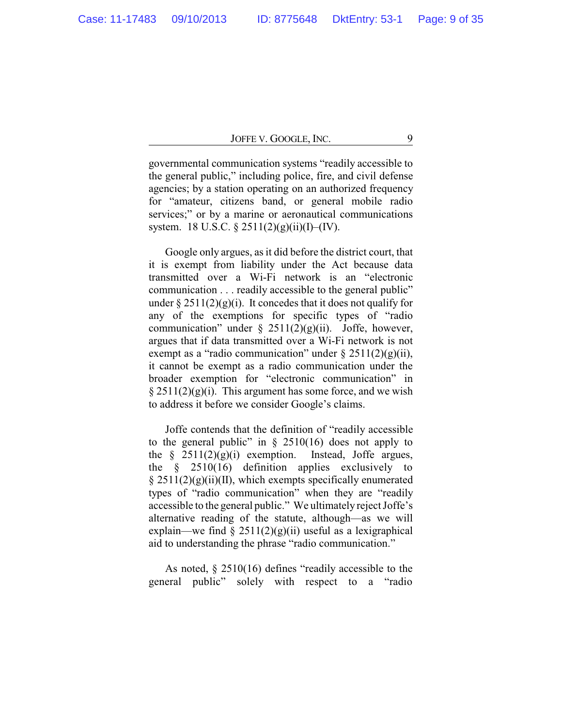governmental communication systems "readily accessible to the general public," including police, fire, and civil defense agencies; by a station operating on an authorized frequency for "amateur, citizens band, or general mobile radio services;" or by a marine or aeronautical communications system. 18 U.S.C.  $\S 2511(2)(g)(ii)(I)$ –(IV).

Google only argues, as it did before the district court, that it is exempt from liability under the Act because data transmitted over a Wi-Fi network is an "electronic communication . . . readily accessible to the general public" under  $\S 2511(2)(g)(i)$ . It concedes that it does not qualify for any of the exemptions for specific types of "radio communication" under  $\S$  2511(2)(g)(ii). Joffe, however, argues that if data transmitted over a Wi-Fi network is not exempt as a "radio communication" under  $\S 2511(2)(g)(ii)$ , it cannot be exempt as a radio communication under the broader exemption for "electronic communication" in  $\S 2511(2)(g)(i)$ . This argument has some force, and we wish to address it before we consider Google's claims.

Joffe contends that the definition of "readily accessible to the general public" in  $\S$  2510(16) does not apply to the  $\S$  2511(2)(g)(i) exemption. Instead, Joffe argues, the  $§$  2510(16) definition applies exclusively to  $\S 2511(2)(g)(ii)(II)$ , which exempts specifically enumerated types of "radio communication" when they are "readily accessible to the general public." We ultimately reject Joffe's alternative reading of the statute, although—as we will explain—we find  $\S 2511(2)(g)(ii)$  useful as a lexigraphical aid to understanding the phrase "radio communication."

As noted, § 2510(16) defines "readily accessible to the general public" solely with respect to a "radio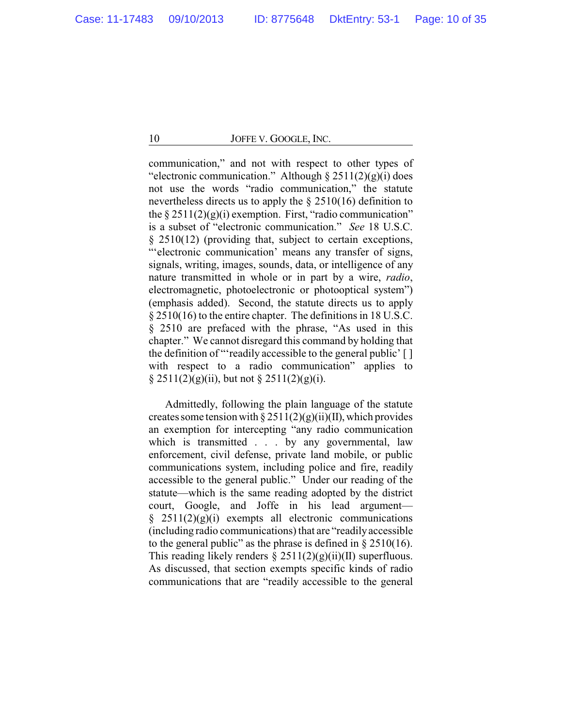communication," and not with respect to other types of "electronic communication." Although  $\S 2511(2)(g)(i)$  does not use the words "radio communication," the statute nevertheless directs us to apply the § 2510(16) definition to the  $\S 2511(2)(g)(i)$  exemption. First, "radio communication" is a subset of "electronic communication." *See* 18 U.S.C. § 2510(12) (providing that, subject to certain exceptions, ""electronic communication' means any transfer of signs, signals, writing, images, sounds, data, or intelligence of any nature transmitted in whole or in part by a wire, *radio*, electromagnetic, photoelectronic or photooptical system") (emphasis added). Second, the statute directs us to apply § 2510(16) to the entire chapter. The definitions in 18 U.S.C. § 2510 are prefaced with the phrase, "As used in this chapter." We cannot disregard this command by holding that the definition of "'readily accessible to the general public' [ ] with respect to a radio communication" applies to  $\S 2511(2)(g)(ii)$ , but not  $\S 2511(2)(g)(i)$ .

Admittedly, following the plain language of the statute creates some tension with §  $2511(2)(g)(ii)(II)$ , which provides an exemption for intercepting "any radio communication which is transmitted . . . by any governmental, law enforcement, civil defense, private land mobile, or public communications system, including police and fire, readily accessible to the general public." Under our reading of the statute—which is the same reading adopted by the district court, Google, and Joffe in his lead argument—  $\S$  2511(2)(g)(i) exempts all electronic communications (including radio communications) that are "readilyaccessible to the general public" as the phrase is defined in  $\S 2510(16)$ . This reading likely renders  $\S 2511(2)(g)(ii)(II)$  superfluous. As discussed, that section exempts specific kinds of radio communications that are "readily accessible to the general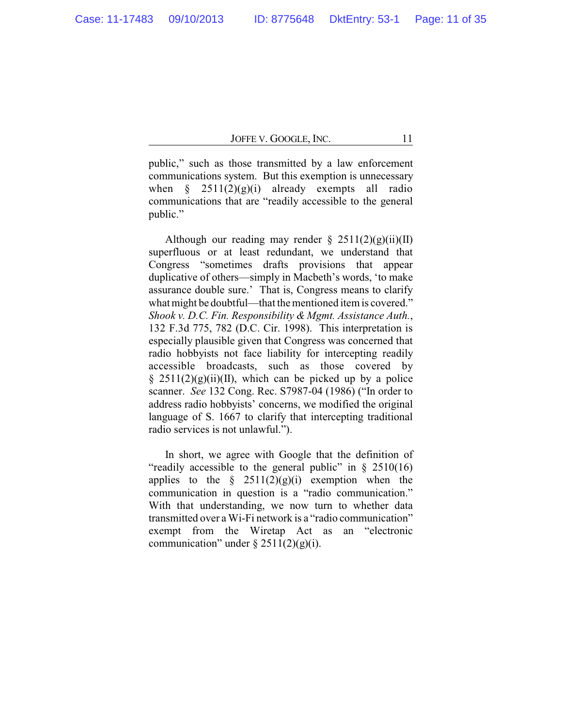public," such as those transmitted by a law enforcement communications system. But this exemption is unnecessary when  $\S$  2511(2)(g)(i) already exempts all radio communications that are "readily accessible to the general public."

Although our reading may render  $\S 2511(2)(g)(ii)(II)$ superfluous or at least redundant, we understand that Congress "sometimes drafts provisions that appear duplicative of others—simply in Macbeth's words, 'to make assurance double sure.' That is, Congress means to clarify what might be doubtful—that the mentioned item is covered." *Shook v. D.C. Fin. Responsibility & Mgmt. Assistance Auth.*, 132 F.3d 775, 782 (D.C. Cir. 1998). This interpretation is especially plausible given that Congress was concerned that radio hobbyists not face liability for intercepting readily accessible broadcasts, such as those covered by §  $2511(2)(g)(ii)(II)$ , which can be picked up by a police scanner. *See* 132 Cong. Rec. S7987-04 (1986) ("In order to address radio hobbyists' concerns, we modified the original language of S. 1667 to clarify that intercepting traditional radio services is not unlawful.").

In short, we agree with Google that the definition of "readily accessible to the general public" in  $\S$  2510(16) applies to the  $\frac{1}{2}$  2511(2)(g)(i) exemption when the communication in question is a "radio communication." With that understanding, we now turn to whether data transmitted over a Wi-Fi network is a "radio communication" exempt from the Wiretap Act as an "electronic communication" under  $\S 2511(2)(g)(i)$ .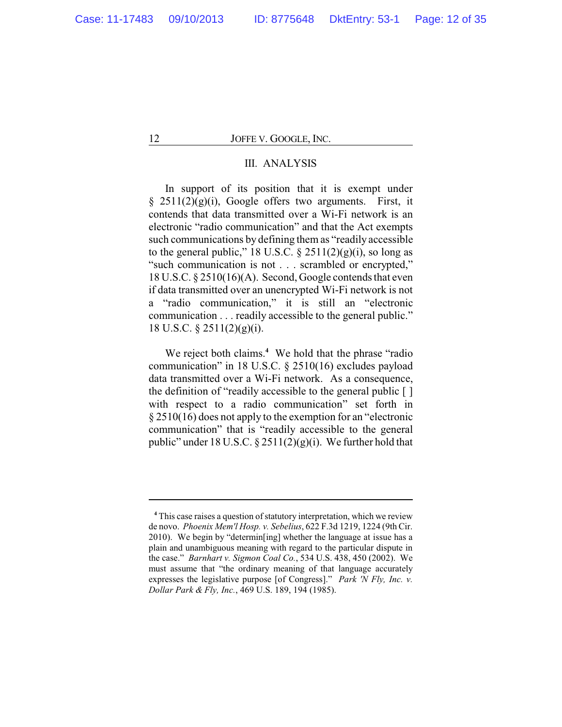# III. ANALYSIS

In support of its position that it is exempt under  $§$  2511(2)(g)(i), Google offers two arguments. First, it contends that data transmitted over a Wi-Fi network is an electronic "radio communication" and that the Act exempts such communications by defining them as "readily accessible to the general public," 18 U.S.C.  $\S$  2511(2)(g)(i), so long as "such communication is not . . . scrambled or encrypted," 18 U.S.C. § 2510(16)(A). Second, Google contends that even if data transmitted over an unencrypted Wi-Fi network is not a "radio communication," it is still an "electronic communication . . . readily accessible to the general public." 18 U.S.C. § 2511(2)(g)(i).

We reject both claims.<sup>4</sup> We hold that the phrase "radio" communication" in 18 U.S.C. § 2510(16) excludes payload data transmitted over a Wi-Fi network. As a consequence, the definition of "readily accessible to the general public [ ] with respect to a radio communication" set forth in § 2510(16) does not apply to the exemption for an "electronic communication" that is "readily accessible to the general public" under 18 U.S.C.  $\S 2511(2)(g)(i)$ . We further hold that

<sup>&</sup>lt;sup>4</sup> This case raises a question of statutory interpretation, which we review de novo. *Phoenix Mem'l Hosp. v. Sebelius*, 622 F.3d 1219, 1224 (9th Cir. 2010). We begin by "determin[ing] whether the language at issue has a plain and unambiguous meaning with regard to the particular dispute in the case." *Barnhart v. Sigmon Coal Co.*, 534 U.S. 438, 450 (2002). We must assume that "the ordinary meaning of that language accurately expresses the legislative purpose [of Congress]." *Park 'N Fly, Inc. v. Dollar Park & Fly, Inc.*, 469 U.S. 189, 194 (1985).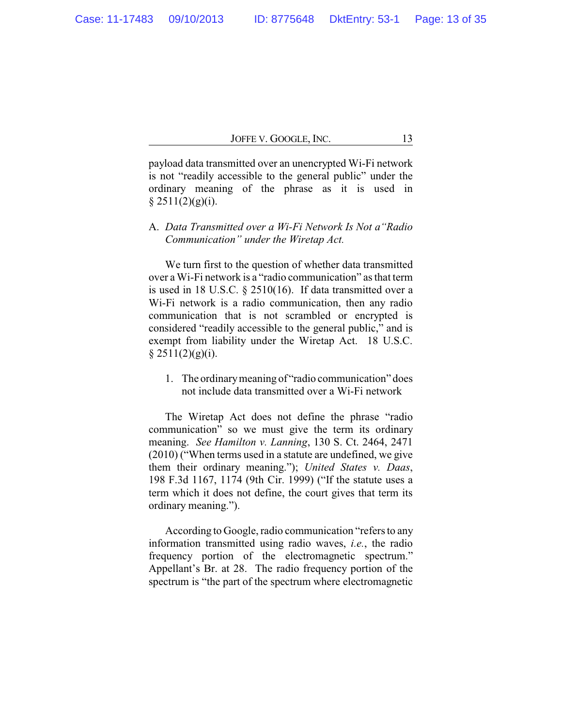payload data transmitted over an unencrypted Wi-Fi network is not "readily accessible to the general public" under the ordinary meaning of the phrase as it is used in  $§$  2511(2)(g)(i).

A. *Data Transmitted over a Wi-Fi Network Is Not a"Radio Communication" under the Wiretap Act.*

We turn first to the question of whether data transmitted over a Wi-Fi network is a "radio communication" as that term is used in 18 U.S.C. § 2510(16). If data transmitted over a Wi-Fi network is a radio communication, then any radio communication that is not scrambled or encrypted is considered "readily accessible to the general public," and is exempt from liability under the Wiretap Act. 18 U.S.C.  $§ 2511(2)(g)(i).$ 

1. The ordinarymeaning of "radio communication" does not include data transmitted over a Wi-Fi network

The Wiretap Act does not define the phrase "radio communication" so we must give the term its ordinary meaning. *See Hamilton v. Lanning*, 130 S. Ct. 2464, 2471 (2010) ("When terms used in a statute are undefined, we give them their ordinary meaning."); *United States v. Daas*, 198 F.3d 1167, 1174 (9th Cir. 1999) ("If the statute uses a term which it does not define, the court gives that term its ordinary meaning.").

According to Google, radio communication "refers to any information transmitted using radio waves, *i.e.*, the radio frequency portion of the electromagnetic spectrum." Appellant's Br. at 28. The radio frequency portion of the spectrum is "the part of the spectrum where electromagnetic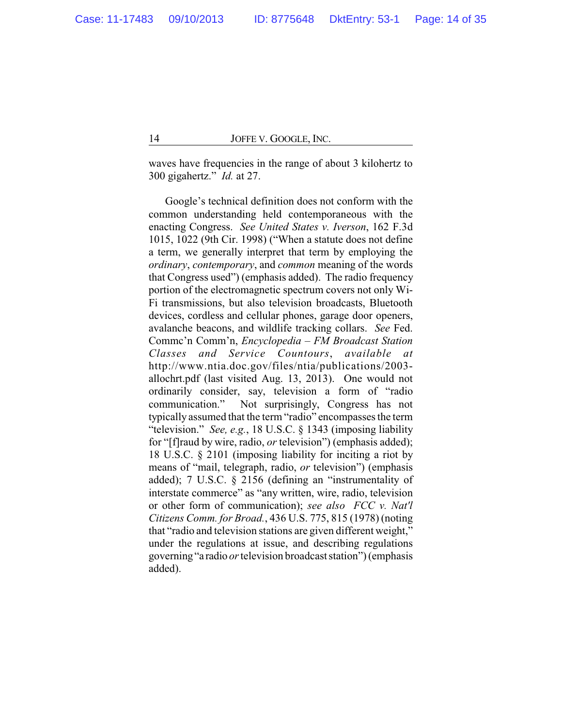waves have frequencies in the range of about 3 kilohertz to 300 gigahertz." *Id.* at 27.

Google's technical definition does not conform with the common understanding held contemporaneous with the enacting Congress. *See United States v. Iverson*, 162 F.3d 1015, 1022 (9th Cir. 1998) ("When a statute does not define a term, we generally interpret that term by employing the *ordinary*, *contemporary*, and *common* meaning of the words that Congress used") (emphasis added). The radio frequency portion of the electromagnetic spectrum covers not only Wi-Fi transmissions, but also television broadcasts, Bluetooth devices, cordless and cellular phones, garage door openers, avalanche beacons, and wildlife tracking collars. *See* Fed. Commc'n Comm'n, *Encyclopedia – FM Broadcast Station Classes and Service Countours*, *available at* http://www.ntia.doc.gov/files/ntia/publications/2003 allochrt.pdf (last visited Aug. 13, 2013). One would not ordinarily consider, say, television a form of "radio communication." Not surprisingly, Congress has not typically assumed that the term "radio" encompasses the term "television." *See, e.g.*, 18 U.S.C. § 1343 (imposing liability for "[f]raud by wire, radio, *or* television") (emphasis added); 18 U.S.C. § 2101 (imposing liability for inciting a riot by means of "mail, telegraph, radio, *or* television") (emphasis added); 7 U.S.C. § 2156 (defining an "instrumentality of interstate commerce" as "any written, wire, radio, television or other form of communication); *see also FCC v. Nat'l Citizens Comm. for Broad.*, 436 U.S. 775, 815 (1978) (noting that "radio and television stations are given different weight," under the regulations at issue, and describing regulations governing"a radio *or*television broadcast station") (emphasis added).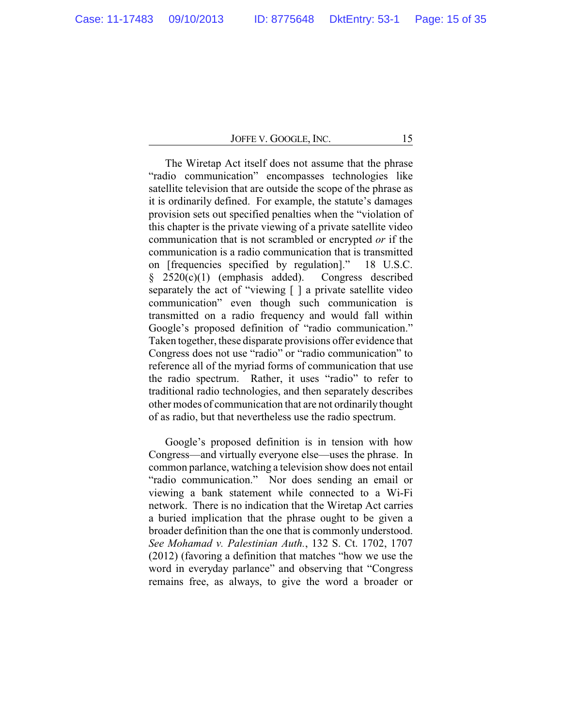The Wiretap Act itself does not assume that the phrase "radio communication" encompasses technologies like satellite television that are outside the scope of the phrase as it is ordinarily defined. For example, the statute's damages provision sets out specified penalties when the "violation of this chapter is the private viewing of a private satellite video communication that is not scrambled or encrypted *or* if the communication is a radio communication that is transmitted on [frequencies specified by regulation]." 18 U.S.C. § 2520(c)(1) (emphasis added). Congress described separately the act of "viewing  $\lceil \cdot \rceil$  a private satellite video communication" even though such communication is transmitted on a radio frequency and would fall within Google's proposed definition of "radio communication." Taken together, these disparate provisions offer evidence that Congress does not use "radio" or "radio communication" to reference all of the myriad forms of communication that use the radio spectrum. Rather, it uses "radio" to refer to traditional radio technologies, and then separately describes other modes of communication that are not ordinarily thought of as radio, but that nevertheless use the radio spectrum.

Google's proposed definition is in tension with how Congress—and virtually everyone else—uses the phrase. In common parlance, watching a television show does not entail "radio communication." Nor does sending an email or viewing a bank statement while connected to a Wi-Fi network. There is no indication that the Wiretap Act carries a buried implication that the phrase ought to be given a broader definition than the one that is commonly understood. *See Mohamad v. Palestinian Auth.*, 132 S. Ct. 1702, 1707 (2012) (favoring a definition that matches "how we use the word in everyday parlance" and observing that "Congress remains free, as always, to give the word a broader or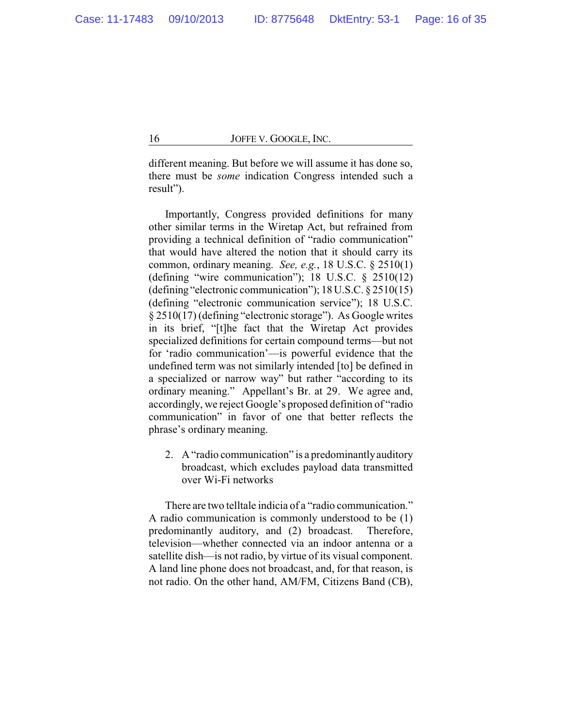different meaning. But before we will assume it has done so, there must be *some* indication Congress intended such a result").

Importantly, Congress provided definitions for many other similar terms in the Wiretap Act, but refrained from providing a technical definition of "radio communication" that would have altered the notion that it should carry its common, ordinary meaning. *See, e.g.*, 18 U.S.C. § 2510(1) (defining "wire communication"); 18 U.S.C. § 2510(12) (defining "electronic communication"); 18 U.S.C. § 2510(15) (defining "electronic communication service"); 18 U.S.C. § 2510(17) (defining "electronic storage"). As Google writes in its brief, "[t]he fact that the Wiretap Act provides specialized definitions for certain compound terms—but not for 'radio communication'—is powerful evidence that the undefined term was not similarly intended [to] be defined in a specialized or narrow way" but rather "according to its ordinary meaning." Appellant's Br. at 29. We agree and, accordingly, we reject Google's proposed definition of "radio communication" in favor of one that better reflects the phrase's ordinary meaning.

2. A "radio communication" is a predominantlyauditory broadcast, which excludes payload data transmitted over Wi-Fi networks

There are two telltale indicia of a "radio communication." A radio communication is commonly understood to be (1) predominantly auditory, and (2) broadcast. Therefore, television—whether connected via an indoor antenna or a satellite dish—is not radio, by virtue of its visual component. A land line phone does not broadcast, and, for that reason, is not radio. On the other hand, AM/FM, Citizens Band (CB),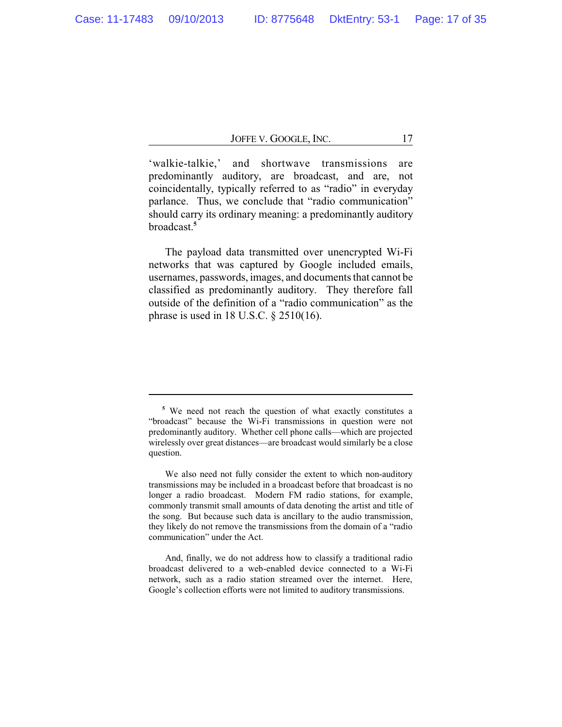'walkie-talkie,' and shortwave transmissions are predominantly auditory, are broadcast, and are, not coincidentally, typically referred to as "radio" in everyday parlance. Thus, we conclude that "radio communication" should carry its ordinary meaning: a predominantly auditory broadcast.**<sup>5</sup>**

The payload data transmitted over unencrypted Wi-Fi networks that was captured by Google included emails, usernames, passwords, images, and documents that cannot be classified as predominantly auditory. They therefore fall outside of the definition of a "radio communication" as the phrase is used in 18 U.S.C. § 2510(16).

**<sup>5</sup>** We need not reach the question of what exactly constitutes a "broadcast" because the Wi-Fi transmissions in question were not predominantly auditory. Whether cell phone calls—which are projected wirelessly over great distances—are broadcast would similarly be a close question.

We also need not fully consider the extent to which non-auditory transmissions may be included in a broadcast before that broadcast is no longer a radio broadcast. Modern FM radio stations, for example, commonly transmit small amounts of data denoting the artist and title of the song. But because such data is ancillary to the audio transmission, they likely do not remove the transmissions from the domain of a "radio communication" under the Act.

And, finally, we do not address how to classify a traditional radio broadcast delivered to a web-enabled device connected to a Wi-Fi network, such as a radio station streamed over the internet. Here, Google's collection efforts were not limited to auditory transmissions.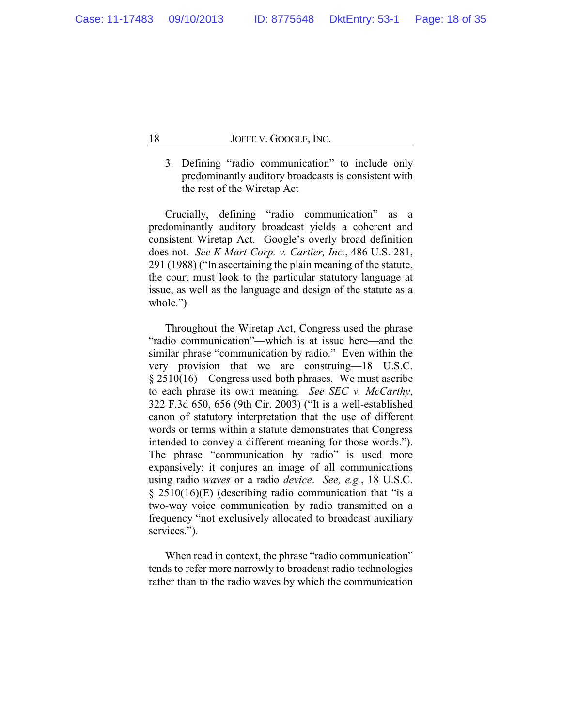3. Defining "radio communication" to include only predominantly auditory broadcasts is consistent with the rest of the Wiretap Act

Crucially, defining "radio communication" as a predominantly auditory broadcast yields a coherent and consistent Wiretap Act. Google's overly broad definition does not. *See K Mart Corp. v. Cartier, Inc.*, 486 U.S. 281, 291 (1988) ("In ascertaining the plain meaning of the statute, the court must look to the particular statutory language at issue, as well as the language and design of the statute as a whole.")

Throughout the Wiretap Act, Congress used the phrase "radio communication"—which is at issue here—and the similar phrase "communication by radio." Even within the very provision that we are construing—18 U.S.C. § 2510(16)—Congress used both phrases. We must ascribe to each phrase its own meaning. *See SEC v. McCarthy*, 322 F.3d 650, 656 (9th Cir. 2003) ("It is a well-established canon of statutory interpretation that the use of different words or terms within a statute demonstrates that Congress intended to convey a different meaning for those words."). The phrase "communication by radio" is used more expansively: it conjures an image of all communications using radio *waves* or a radio *device*. *See, e.g.*, 18 U.S.C. § 2510(16)(E) (describing radio communication that "is a two-way voice communication by radio transmitted on a frequency "not exclusively allocated to broadcast auxiliary services.").

When read in context, the phrase "radio communication" tends to refer more narrowly to broadcast radio technologies rather than to the radio waves by which the communication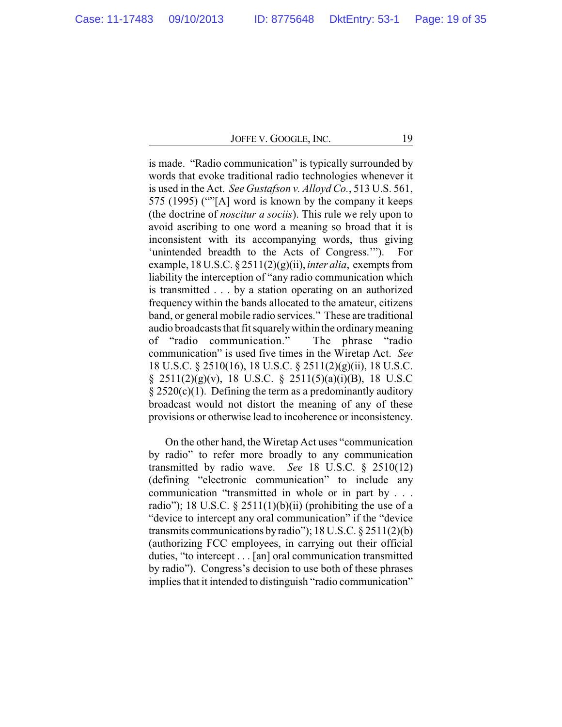is made. "Radio communication" is typically surrounded by words that evoke traditional radio technologies whenever it is used in the Act. *See Gustafson v. Alloyd Co.*, 513 U.S. 561, 575 (1995) (""[A] word is known by the company it keeps (the doctrine of *noscitur a sociis*). This rule we rely upon to avoid ascribing to one word a meaning so broad that it is inconsistent with its accompanying words, thus giving 'unintended breadth to the Acts of Congress.'"). For example, 18 U.S.C. § 2511(2)(g)(ii), *inter alia*, exempts from liability the interception of "any radio communication which is transmitted . . . by a station operating on an authorized frequency within the bands allocated to the amateur, citizens band, or general mobile radio services." These are traditional audio broadcasts that fit squarelywithin the ordinarymeaning of "radio communication." The phrase "radio communication" is used five times in the Wiretap Act. *See* 18 U.S.C. § 2510(16), 18 U.S.C. § 2511(2)(g)(ii), 18 U.S.C.  $§$  2511(2)(g)(v), 18 U.S.C. § 2511(5)(a)(i)(B), 18 U.S.C  $\S 2520(c)(1)$ . Defining the term as a predominantly auditory broadcast would not distort the meaning of any of these provisions or otherwise lead to incoherence or inconsistency.

On the other hand, the Wiretap Act uses "communication by radio" to refer more broadly to any communication transmitted by radio wave. *See* 18 U.S.C. § 2510(12) (defining "electronic communication" to include any communication "transmitted in whole or in part by . . . radio"); 18 U.S.C. § 2511(1)(b)(ii) (prohibiting the use of a "device to intercept any oral communication" if the "device transmits communications by radio");  $18$  U.S.C.  $\S$  2511(2)(b) (authorizing FCC employees, in carrying out their official duties, "to intercept . . . [an] oral communication transmitted by radio"). Congress's decision to use both of these phrases implies that it intended to distinguish "radio communication"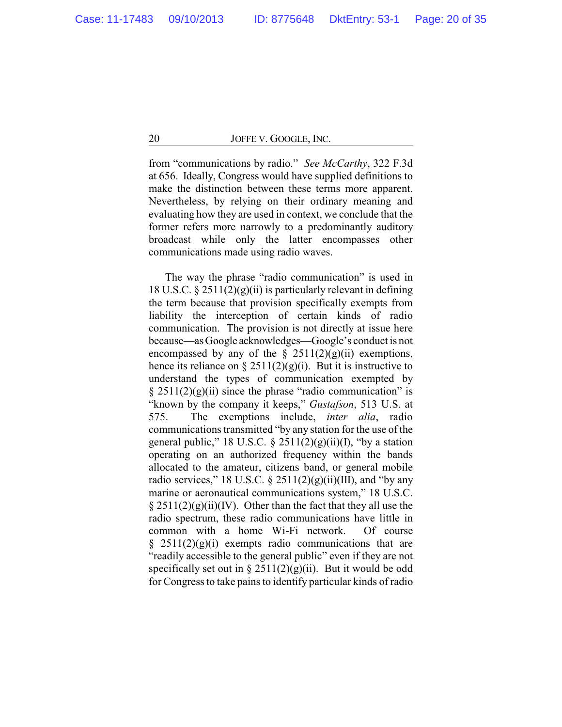from "communications by radio." *See McCarthy*, 322 F.3d at 656. Ideally, Congress would have supplied definitions to make the distinction between these terms more apparent. Nevertheless, by relying on their ordinary meaning and evaluating how they are used in context, we conclude that the former refers more narrowly to a predominantly auditory broadcast while only the latter encompasses other communications made using radio waves.

The way the phrase "radio communication" is used in 18 U.S.C.  $\S 2511(2)(g)(ii)$  is particularly relevant in defining the term because that provision specifically exempts from liability the interception of certain kinds of radio communication. The provision is not directly at issue here because—as Google acknowledges—Google's conduct is not encompassed by any of the  $\S$  2511(2)(g)(ii) exemptions, hence its reliance on § 2511(2)(g)(i). But it is instructive to understand the types of communication exempted by  $\S 2511(2)(g)(ii)$  since the phrase "radio communication" is "known by the company it keeps," *Gustafson*, 513 U.S. at 575. The exemptions include, *inter alia*, radio communications transmitted "by any station for the use of the general public," 18 U.S.C.  $\S$  2511(2)(g)(ii)(I), "by a station operating on an authorized frequency within the bands allocated to the amateur, citizens band, or general mobile radio services," 18 U.S.C.  $\S 2511(2)(g)(ii)(III)$ , and "by any marine or aeronautical communications system," 18 U.S.C.  $\S 2511(2)(g)(ii)(IV)$ . Other than the fact that they all use the radio spectrum, these radio communications have little in common with a home Wi-Fi network. Of course  $\S$  2511(2)(g)(i) exempts radio communications that are "readily accessible to the general public" even if they are not specifically set out in §  $2511(2)(g)(ii)$ . But it would be odd for Congress to take pains to identify particular kinds of radio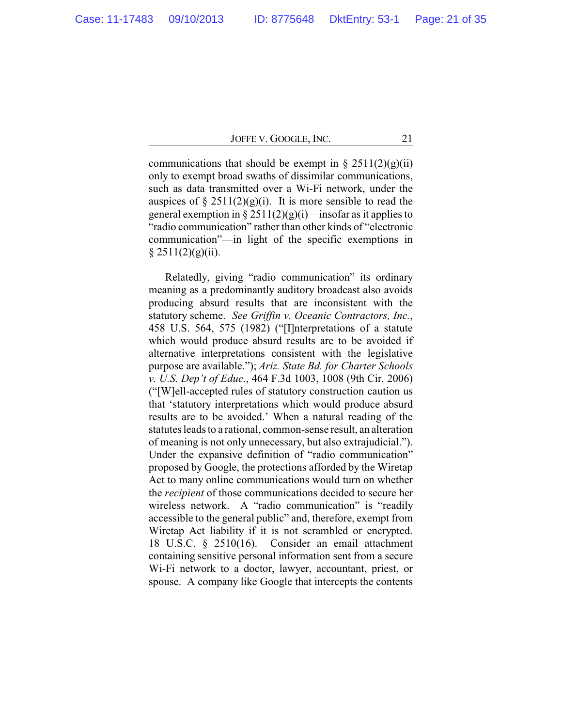communications that should be exempt in  $\S 2511(2)(g)(ii)$ only to exempt broad swaths of dissimilar communications, such as data transmitted over a Wi-Fi network, under the auspices of  $\S 2511(2)(g)(i)$ . It is more sensible to read the general exemption in §  $2511(2)(g)(i)$ —insofar as it applies to "radio communication" rather than other kinds of "electronic communication"—in light of the specific exemptions in  $§ 2511(2)(g)(ii).$ 

Relatedly, giving "radio communication" its ordinary meaning as a predominantly auditory broadcast also avoids producing absurd results that are inconsistent with the statutory scheme. *See Griffin v. Oceanic Contractors, Inc.*, 458 U.S. 564, 575 (1982) ("[I]nterpretations of a statute which would produce absurd results are to be avoided if alternative interpretations consistent with the legislative purpose are available."); *Ariz. State Bd. for Charter Schools v. U.S. Dep't of Educ*., 464 F.3d 1003, 1008 (9th Cir. 2006) ("[W]ell-accepted rules of statutory construction caution us that 'statutory interpretations which would produce absurd results are to be avoided.' When a natural reading of the statutes leads to a rational, common-sense result, an alteration of meaning is not only unnecessary, but also extrajudicial."). Under the expansive definition of "radio communication" proposed by Google, the protections afforded by the Wiretap Act to many online communications would turn on whether the *recipient* of those communications decided to secure her wireless network. A "radio communication" is "readily accessible to the general public" and, therefore, exempt from Wiretap Act liability if it is not scrambled or encrypted. 18 U.S.C. § 2510(16). Consider an email attachment containing sensitive personal information sent from a secure Wi-Fi network to a doctor, lawyer, accountant, priest, or spouse. A company like Google that intercepts the contents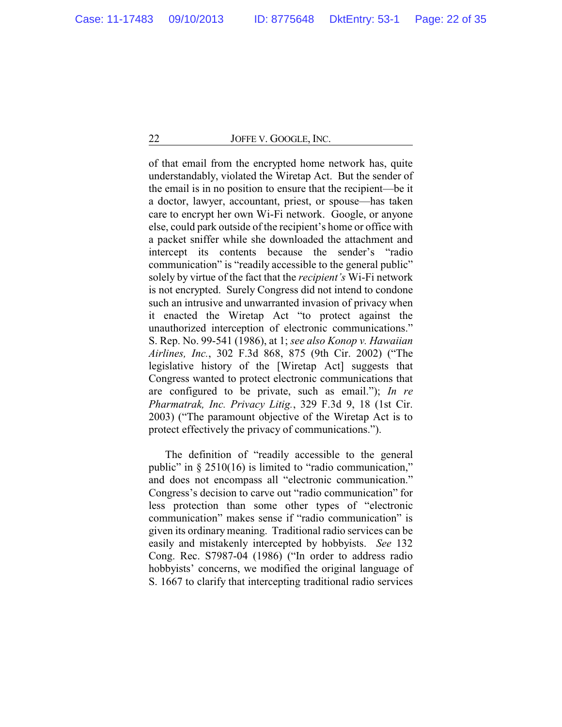of that email from the encrypted home network has, quite understandably, violated the Wiretap Act. But the sender of the email is in no position to ensure that the recipient—be it a doctor, lawyer, accountant, priest, or spouse—has taken care to encrypt her own Wi-Fi network. Google, or anyone else, could park outside of the recipient's home or office with a packet sniffer while she downloaded the attachment and intercept its contents because the sender's "radio communication" is "readily accessible to the general public" solely by virtue of the fact that the *recipient's* Wi-Fi network is not encrypted. Surely Congress did not intend to condone such an intrusive and unwarranted invasion of privacy when it enacted the Wiretap Act "to protect against the unauthorized interception of electronic communications." S. Rep. No. 99-541 (1986), at 1; *see also Konop v. Hawaiian Airlines, Inc.*, 302 F.3d 868, 875 (9th Cir. 2002) ("The legislative history of the [Wiretap Act] suggests that Congress wanted to protect electronic communications that are configured to be private, such as email."); *In re Pharmatrak, Inc. Privacy Litig.*, 329 F.3d 9, 18 (1st Cir. 2003) ("The paramount objective of the Wiretap Act is to protect effectively the privacy of communications.").

The definition of "readily accessible to the general public" in § 2510(16) is limited to "radio communication," and does not encompass all "electronic communication." Congress's decision to carve out "radio communication" for less protection than some other types of "electronic communication" makes sense if "radio communication" is given its ordinary meaning. Traditional radio services can be easily and mistakenly intercepted by hobbyists. *See* 132 Cong. Rec. S7987-04 (1986) ("In order to address radio hobbyists' concerns, we modified the original language of S. 1667 to clarify that intercepting traditional radio services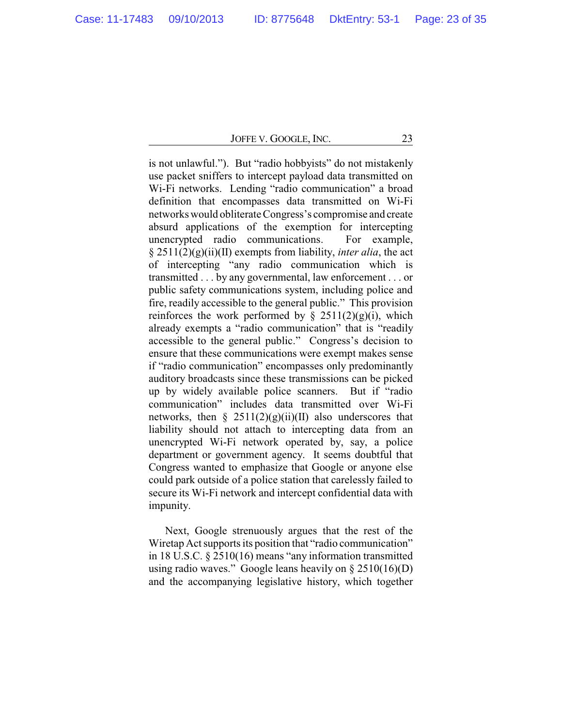is not unlawful."). But "radio hobbyists" do not mistakenly use packet sniffers to intercept payload data transmitted on Wi-Fi networks. Lending "radio communication" a broad definition that encompasses data transmitted on Wi-Fi networks would obliterate Congress's compromise and create absurd applications of the exemption for intercepting unencrypted radio communications. For example, § 2511(2)(g)(ii)(II) exempts from liability, *inter alia*, the act of intercepting "any radio communication which is transmitted . . . by any governmental, law enforcement . . . or public safety communications system, including police and fire, readily accessible to the general public." This provision reinforces the work performed by  $\S$  2511(2)(g)(i), which already exempts a "radio communication" that is "readily accessible to the general public." Congress's decision to ensure that these communications were exempt makes sense if "radio communication" encompasses only predominantly auditory broadcasts since these transmissions can be picked up by widely available police scanners. But if "radio communication" includes data transmitted over Wi-Fi networks, then §  $2511(2)(g)(ii)(II)$  also underscores that liability should not attach to intercepting data from an unencrypted Wi-Fi network operated by, say, a police department or government agency. It seems doubtful that Congress wanted to emphasize that Google or anyone else could park outside of a police station that carelessly failed to secure its Wi-Fi network and intercept confidential data with impunity.

Next, Google strenuously argues that the rest of the Wiretap Act supports its position that "radio communication" in 18 U.S.C. § 2510(16) means "any information transmitted using radio waves." Google leans heavily on  $\S 2510(16)(D)$ and the accompanying legislative history, which together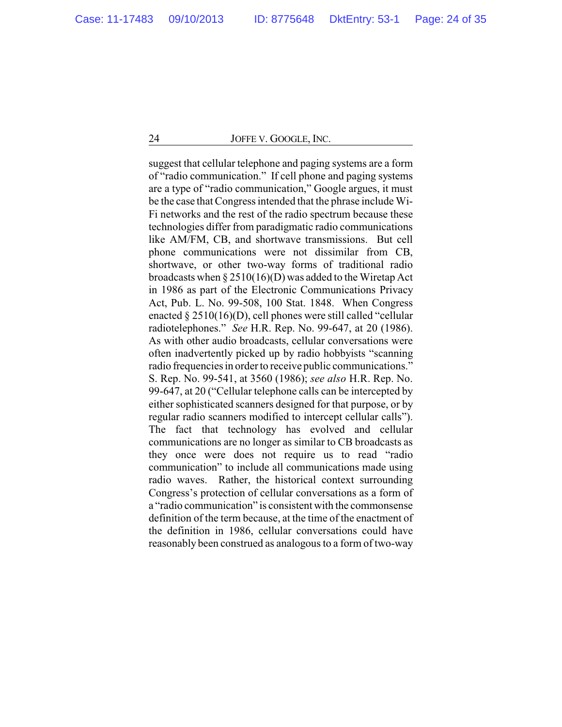suggest that cellular telephone and paging systems are a form of "radio communication." If cell phone and paging systems are a type of "radio communication," Google argues, it must be the case that Congress intended that the phrase include Wi-Fi networks and the rest of the radio spectrum because these technologies differ from paradigmatic radio communications like AM/FM, CB, and shortwave transmissions. But cell phone communications were not dissimilar from CB, shortwave, or other two-way forms of traditional radio broadcasts when § 2510(16)(D) was added to the Wiretap Act in 1986 as part of the Electronic Communications Privacy Act, Pub. L. No. 99-508, 100 Stat. 1848. When Congress enacted § 2510(16)(D), cell phones were still called "cellular radiotelephones." *See* H.R. Rep. No. 99-647, at 20 (1986). As with other audio broadcasts, cellular conversations were often inadvertently picked up by radio hobbyists "scanning radio frequencies in order to receive public communications." S. Rep. No. 99-541, at 3560 (1986); *see also* H.R. Rep. No. 99-647, at 20 ("Cellular telephone calls can be intercepted by either sophisticated scanners designed for that purpose, or by regular radio scanners modified to intercept cellular calls"). The fact that technology has evolved and cellular communications are no longer as similar to CB broadcasts as they once were does not require us to read "radio communication" to include all communications made using radio waves. Rather, the historical context surrounding Congress's protection of cellular conversations as a form of a "radio communication" is consistent with the commonsense definition of the term because, at the time of the enactment of the definition in 1986, cellular conversations could have reasonably been construed as analogous to a form of two-way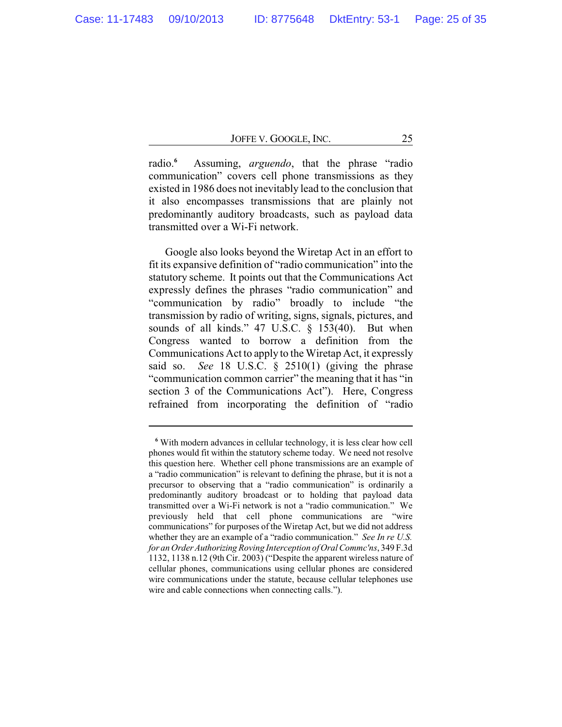radio.**<sup>6</sup>** Assuming, *arguendo*, that the phrase "radio communication" covers cell phone transmissions as they existed in 1986 does not inevitably lead to the conclusion that it also encompasses transmissions that are plainly not predominantly auditory broadcasts, such as payload data transmitted over a Wi-Fi network.

Google also looks beyond the Wiretap Act in an effort to fit its expansive definition of "radio communication" into the statutory scheme. It points out that the Communications Act expressly defines the phrases "radio communication" and "communication by radio" broadly to include "the transmission by radio of writing, signs, signals, pictures, and sounds of all kinds." 47 U.S.C. § 153(40). But when Congress wanted to borrow a definition from the Communications Act to apply to the Wiretap Act, it expressly said so. *See* 18 U.S.C. § 2510(1) (giving the phrase "communication common carrier" the meaning that it has "in section 3 of the Communications Act"). Here, Congress refrained from incorporating the definition of "radio

**<sup>6</sup>** With modern advances in cellular technology, it is less clear how cell phones would fit within the statutory scheme today. We need not resolve this question here. Whether cell phone transmissions are an example of a "radio communication" is relevant to defining the phrase, but it is not a precursor to observing that a "radio communication" is ordinarily a predominantly auditory broadcast or to holding that payload data transmitted over a Wi-Fi network is not a "radio communication." We previously held that cell phone communications are "wire communications" for purposes of the Wiretap Act, but we did not address whether they are an example of a "radio communication." *See In re U.S. for an Order AuthorizingRoving Interception of Oral Commc'ns*, 349 F.3d 1132, 1138 n.12 (9th Cir. 2003) ("Despite the apparent wireless nature of cellular phones, communications using cellular phones are considered wire communications under the statute, because cellular telephones use wire and cable connections when connecting calls.").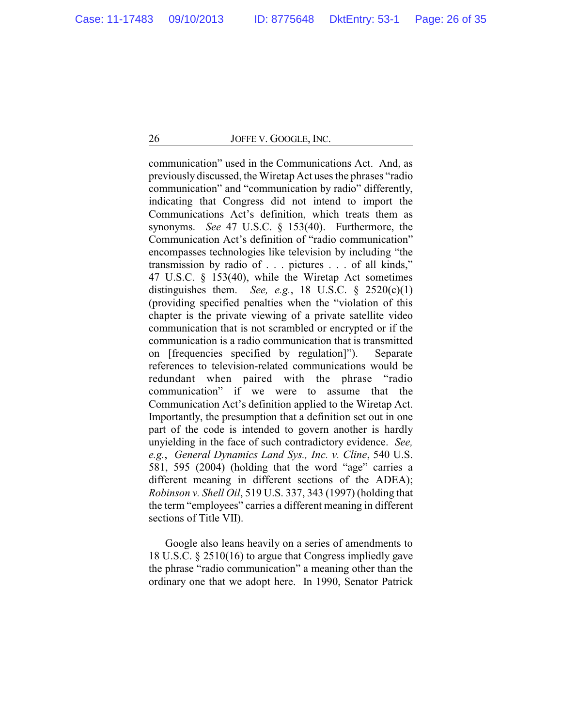communication" used in the Communications Act. And, as previously discussed, the Wiretap Act uses the phrases "radio communication" and "communication by radio" differently, indicating that Congress did not intend to import the Communications Act's definition, which treats them as synonyms. *See* 47 U.S.C. § 153(40). Furthermore, the Communication Act's definition of "radio communication" encompasses technologies like television by including "the transmission by radio of . . . pictures . . . of all kinds," 47 U.S.C. § 153(40), while the Wiretap Act sometimes distinguishes them. *See, e.g.*, 18 U.S.C.  $\frac{6}{5}$  2520(c)(1) (providing specified penalties when the "violation of this chapter is the private viewing of a private satellite video communication that is not scrambled or encrypted or if the communication is a radio communication that is transmitted on [frequencies specified by regulation]"). Separate references to television-related communications would be redundant when paired with the phrase "radio communication" if we were to assume that the Communication Act's definition applied to the Wiretap Act. Importantly, the presumption that a definition set out in one part of the code is intended to govern another is hardly unyielding in the face of such contradictory evidence. *See, e.g.*, *General Dynamics Land Sys., Inc. v. Cline*, 540 U.S. 581, 595 (2004) (holding that the word "age" carries a different meaning in different sections of the ADEA); *Robinson v. Shell Oil*, 519 U.S. 337, 343 (1997) (holding that the term "employees" carries a different meaning in different sections of Title VII).

Google also leans heavily on a series of amendments to 18 U.S.C. § 2510(16) to argue that Congress impliedly gave the phrase "radio communication" a meaning other than the ordinary one that we adopt here. In 1990, Senator Patrick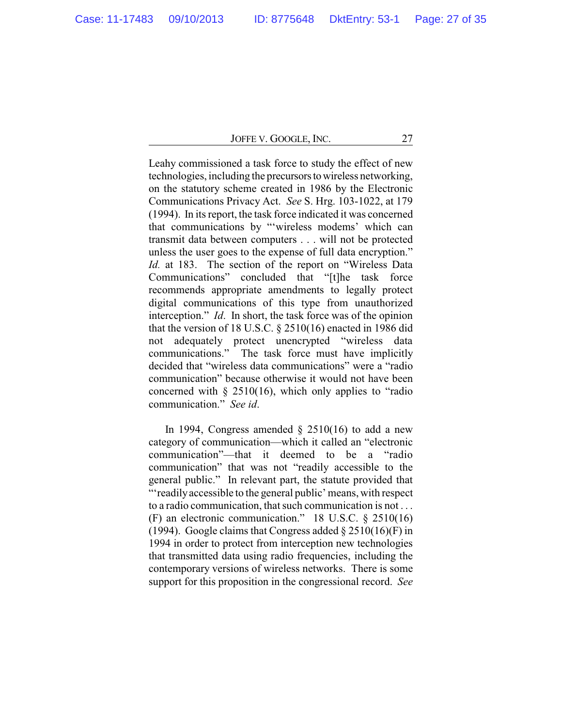Leahy commissioned a task force to study the effect of new technologies, including the precursors to wireless networking, on the statutory scheme created in 1986 by the Electronic Communications Privacy Act. *See* S. Hrg. 103-1022, at 179 (1994). In its report, the task force indicated it was concerned that communications by "'wireless modems' which can transmit data between computers . . . will not be protected unless the user goes to the expense of full data encryption." *Id.* at 183. The section of the report on "Wireless Data Communications" concluded that "[t]he task force recommends appropriate amendments to legally protect digital communications of this type from unauthorized interception." *Id*. In short, the task force was of the opinion that the version of 18 U.S.C. § 2510(16) enacted in 1986 did not adequately protect unencrypted "wireless data communications." The task force must have implicitly decided that "wireless data communications" were a "radio communication" because otherwise it would not have been concerned with  $\S$  2510(16), which only applies to "radio" communication." *See id*.

In 1994, Congress amended  $\S$  2510(16) to add a new category of communication—which it called an "electronic communication"—that it deemed to be a "radio communication" that was not "readily accessible to the general public." In relevant part, the statute provided that "'readilyaccessible to the general public' means, with respect to a radio communication, that such communication is not . . . (F) an electronic communication." 18 U.S.C. § 2510(16) (1994). Google claims that Congress added  $\S 2510(16)$ (F) in 1994 in order to protect from interception new technologies that transmitted data using radio frequencies, including the contemporary versions of wireless networks. There is some support for this proposition in the congressional record. *See*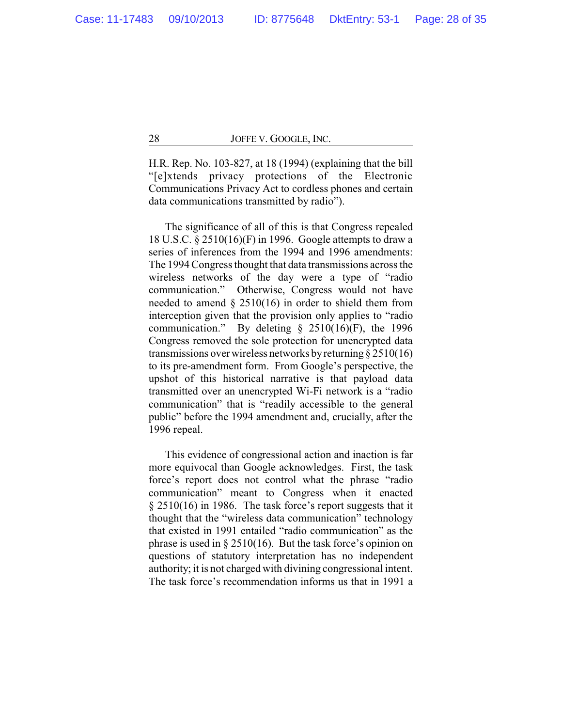H.R. Rep. No. 103-827, at 18 (1994) (explaining that the bill "[e]xtends privacy protections of the Electronic Communications Privacy Act to cordless phones and certain data communications transmitted by radio").

The significance of all of this is that Congress repealed 18 U.S.C. § 2510(16)(F) in 1996. Google attempts to draw a series of inferences from the 1994 and 1996 amendments: The 1994 Congress thought that data transmissions across the wireless networks of the day were a type of "radio communication." Otherwise, Congress would not have needed to amend  $\S 2510(16)$  in order to shield them from interception given that the provision only applies to "radio communication." By deleting  $\S$  2510(16)(F), the 1996 Congress removed the sole protection for unencrypted data transmissions over wireless networks by returning  $\S 2510(16)$ to its pre-amendment form. From Google's perspective, the upshot of this historical narrative is that payload data transmitted over an unencrypted Wi-Fi network is a "radio communication" that is "readily accessible to the general public" before the 1994 amendment and, crucially, after the 1996 repeal.

This evidence of congressional action and inaction is far more equivocal than Google acknowledges. First, the task force's report does not control what the phrase "radio communication" meant to Congress when it enacted § 2510(16) in 1986. The task force's report suggests that it thought that the "wireless data communication" technology that existed in 1991 entailed "radio communication" as the phrase is used in  $\S 2510(16)$ . But the task force's opinion on questions of statutory interpretation has no independent authority; it is not charged with divining congressional intent. The task force's recommendation informs us that in 1991 a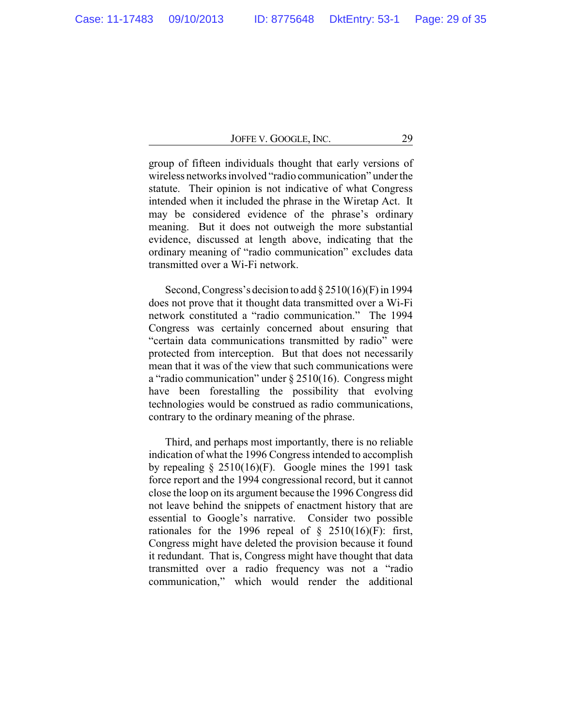group of fifteen individuals thought that early versions of wireless networks involved "radio communication" under the statute. Their opinion is not indicative of what Congress intended when it included the phrase in the Wiretap Act. It may be considered evidence of the phrase's ordinary meaning. But it does not outweigh the more substantial evidence, discussed at length above, indicating that the ordinary meaning of "radio communication" excludes data transmitted over a Wi-Fi network.

Second, Congress's decision to add § 2510(16)(F) in 1994 does not prove that it thought data transmitted over a Wi-Fi network constituted a "radio communication." The 1994 Congress was certainly concerned about ensuring that "certain data communications transmitted by radio" were protected from interception. But that does not necessarily mean that it was of the view that such communications were a "radio communication" under § 2510(16). Congress might have been forestalling the possibility that evolving technologies would be construed as radio communications, contrary to the ordinary meaning of the phrase.

Third, and perhaps most importantly, there is no reliable indication of what the 1996 Congress intended to accomplish by repealing  $\S 2510(16)$ (F). Google mines the 1991 task force report and the 1994 congressional record, but it cannot close the loop on its argument because the 1996 Congress did not leave behind the snippets of enactment history that are essential to Google's narrative. Consider two possible rationales for the 1996 repeal of  $\S$  2510(16)(F): first, Congress might have deleted the provision because it found it redundant. That is, Congress might have thought that data transmitted over a radio frequency was not a "radio communication," which would render the additional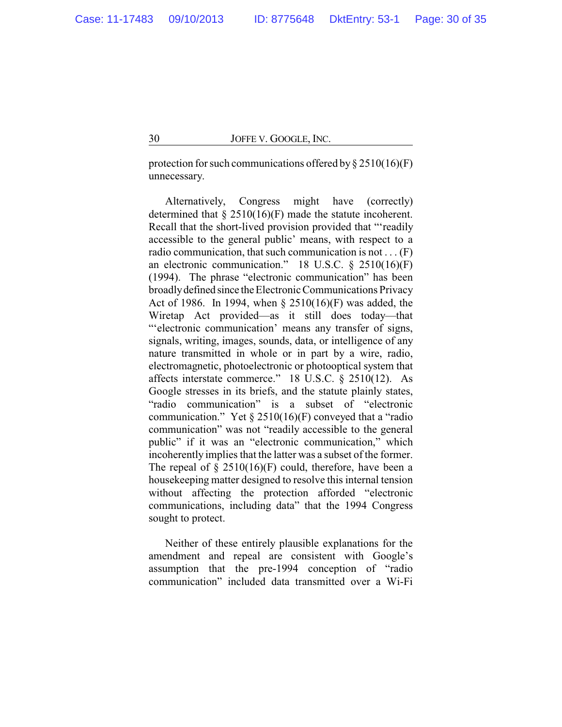protection for such communications offered by  $\S 2510(16)$ (F) unnecessary.

Alternatively, Congress might have (correctly) determined that  $\S 2510(16)$ (F) made the statute incoherent. Recall that the short-lived provision provided that "'readily accessible to the general public' means, with respect to a radio communication, that such communication is not . . . (F) an electronic communication." 18 U.S.C. § 2510(16)(F) (1994). The phrase "electronic communication" has been broadly defined since the Electronic Communications Privacy Act of 1986. In 1994, when § 2510(16)(F) was added, the Wiretap Act provided—as it still does today—that "'electronic communication' means any transfer of signs, signals, writing, images, sounds, data, or intelligence of any nature transmitted in whole or in part by a wire, radio, electromagnetic, photoelectronic or photooptical system that affects interstate commerce." 18 U.S.C. § 2510(12). As Google stresses in its briefs, and the statute plainly states, "radio communication" is a subset of "electronic communication." Yet  $\S 2510(16)$ (F) conveyed that a "radio communication" was not "readily accessible to the general public" if it was an "electronic communication," which incoherently implies that the latter was a subset of the former. The repeal of  $\S$  2510(16)(F) could, therefore, have been a housekeeping matter designed to resolve this internal tension without affecting the protection afforded "electronic communications, including data" that the 1994 Congress sought to protect.

Neither of these entirely plausible explanations for the amendment and repeal are consistent with Google's assumption that the pre-1994 conception of "radio communication" included data transmitted over a Wi-Fi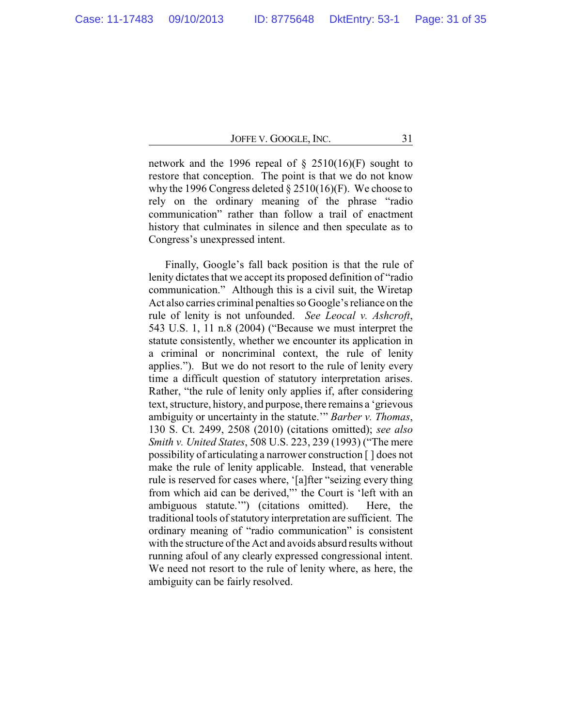network and the 1996 repeal of  $\S$  2510(16)(F) sought to restore that conception. The point is that we do not know why the 1996 Congress deleted  $\S 2510(16)$ (F). We choose to rely on the ordinary meaning of the phrase "radio communication" rather than follow a trail of enactment history that culminates in silence and then speculate as to Congress's unexpressed intent.

Finally, Google's fall back position is that the rule of lenity dictates that we accept its proposed definition of "radio communication." Although this is a civil suit, the Wiretap Act also carries criminal penalties so Google's reliance on the rule of lenity is not unfounded. *See Leocal v. Ashcroft*, 543 U.S. 1, 11 n.8 (2004) ("Because we must interpret the statute consistently, whether we encounter its application in a criminal or noncriminal context, the rule of lenity applies."). But we do not resort to the rule of lenity every time a difficult question of statutory interpretation arises. Rather, "the rule of lenity only applies if, after considering text, structure, history, and purpose, there remains a 'grievous ambiguity or uncertainty in the statute.'" *Barber v. Thomas*, 130 S. Ct. 2499, 2508 (2010) (citations omitted); *see also Smith v. United States*, 508 U.S. 223, 239 (1993) ("The mere possibility of articulating a narrower construction [ ] does not make the rule of lenity applicable. Instead, that venerable rule is reserved for cases where, '[a]fter "seizing every thing from which aid can be derived,"' the Court is 'left with an ambiguous statute.'") (citations omitted). Here, the traditional tools of statutory interpretation are sufficient. The ordinary meaning of "radio communication" is consistent with the structure of the Act and avoids absurd results without running afoul of any clearly expressed congressional intent. We need not resort to the rule of lenity where, as here, the ambiguity can be fairly resolved.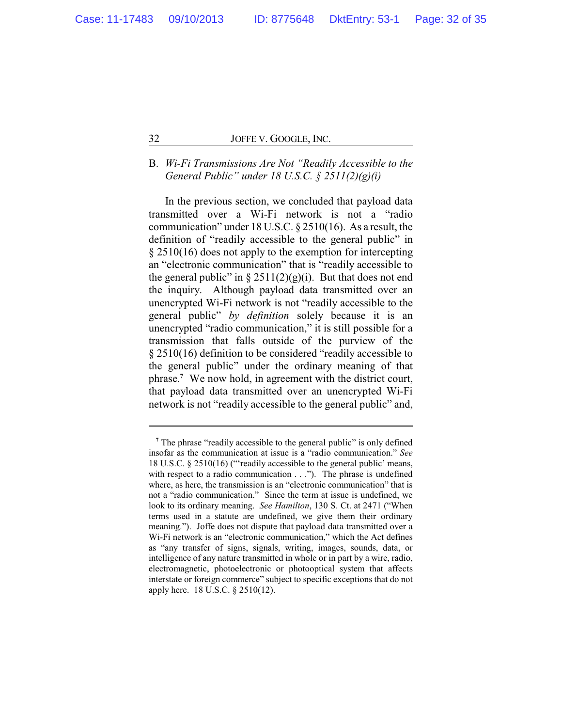# B. *Wi-Fi Transmissions Are Not "Readily Accessible to the General Public" under 18 U.S.C. § 2511(2)(g)(i)*

In the previous section, we concluded that payload data transmitted over a Wi-Fi network is not a "radio communication" under 18 U.S.C. § 2510(16). As a result, the definition of "readily accessible to the general public" in § 2510(16) does not apply to the exemption for intercepting an "electronic communication" that is "readily accessible to the general public" in  $\S 2511(2)(g)(i)$ . But that does not end the inquiry. Although payload data transmitted over an unencrypted Wi-Fi network is not "readily accessible to the general public" *by definition* solely because it is an unencrypted "radio communication," it is still possible for a transmission that falls outside of the purview of the § 2510(16) definition to be considered "readily accessible to the general public" under the ordinary meaning of that phrase.**<sup>7</sup>** We now hold, in agreement with the district court, that payload data transmitted over an unencrypted Wi-Fi network is not "readily accessible to the general public" and,

**<sup>7</sup>** The phrase "readily accessible to the general public" is only defined insofar as the communication at issue is a "radio communication." *See* 18 U.S.C. § 2510(16) ("'readily accessible to the general public' means, with respect to a radio communication . . ."). The phrase is undefined where, as here, the transmission is an "electronic communication" that is not a "radio communication." Since the term at issue is undefined, we look to its ordinary meaning. *See Hamilton*, 130 S. Ct. at 2471 ("When terms used in a statute are undefined, we give them their ordinary meaning."). Joffe does not dispute that payload data transmitted over a Wi-Fi network is an "electronic communication," which the Act defines as "any transfer of signs, signals, writing, images, sounds, data, or intelligence of any nature transmitted in whole or in part by a wire, radio, electromagnetic, photoelectronic or photooptical system that affects interstate or foreign commerce" subject to specific exceptions that do not apply here. 18 U.S.C. § 2510(12).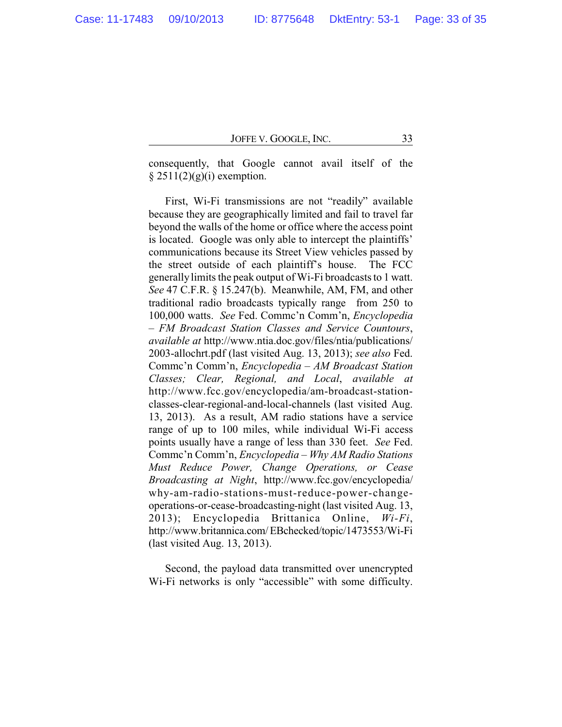consequently, that Google cannot avail itself of the  $§$  2511(2)(g)(i) exemption.

First, Wi-Fi transmissions are not "readily" available because they are geographically limited and fail to travel far beyond the walls of the home or office where the access point is located. Google was only able to intercept the plaintiffs' communications because its Street View vehicles passed by the street outside of each plaintiff's house. The FCC generallylimits the peak output of Wi-Fi broadcasts to 1 watt. *See* 47 C.F.R. § 15.247(b). Meanwhile, AM, FM, and other traditional radio broadcasts typically range from 250 to 100,000 watts. *See* Fed. Commc'n Comm'n, *Encyclopedia – FM Broadcast Station Classes and Service Countours*, *available at* http://www.ntia.doc.gov/files/ntia/publications/ 2003-allochrt.pdf (last visited Aug. 13, 2013); *see also* Fed. Commc'n Comm'n, *Encyclopedia – AM Broadcast Station Classes; Clear, Regional, and Local*, *available at* http://www.fcc.gov/encyclopedia/am-broadcast-stationclasses-clear-regional-and-local-channels (last visited Aug. 13, 2013). As a result, AM radio stations have a service range of up to 100 miles, while individual Wi-Fi access points usually have a range of less than 330 feet. *See* Fed. Commc'n Comm'n, *Encyclopedia – Why AM Radio Stations Must Reduce Power, Change Operations, or Cease Broadcasting at Night*, http://www.fcc.gov/encyclopedia/ why-am-radio-stations-must-reduce-power-changeoperations-or-cease-broadcasting-night (last visited Aug. 13, 2013); Encyclopedia Brittanica Online, *Wi-Fi*, http://www.britannica.com/EBchecked/topic/1473553/Wi-Fi (last visited Aug. 13, 2013).

Second, the payload data transmitted over unencrypted Wi-Fi networks is only "accessible" with some difficulty.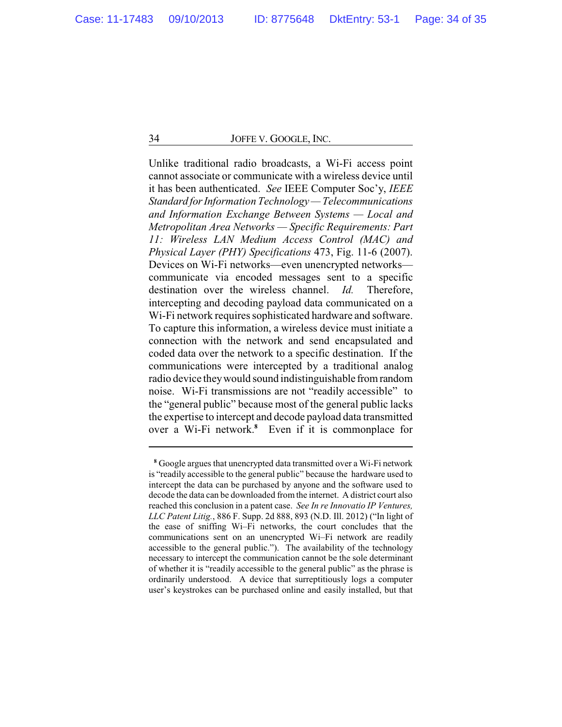Unlike traditional radio broadcasts, a Wi-Fi access point cannot associate or communicate with a wireless device until it has been authenticated. *See* IEEE Computer Soc'y, *IEEE Standard forInformation Technology — Telecommunications and Information Exchange Between Systems — Local and Metropolitan Area Networks — Specific Requirements: Part 11: Wireless LAN Medium Access Control (MAC) and Physical Layer (PHY) Specifications* 473, Fig. 11-6 (2007). Devices on Wi-Fi networks—even unencrypted networks communicate via encoded messages sent to a specific destination over the wireless channel. *Id.* Therefore, intercepting and decoding payload data communicated on a Wi-Fi network requires sophisticated hardware and software. To capture this information, a wireless device must initiate a connection with the network and send encapsulated and coded data over the network to a specific destination. If the communications were intercepted by a traditional analog radio device theywould sound indistinguishable fromrandom noise. Wi-Fi transmissions are not "readily accessible" to the "general public" because most of the general public lacks the expertise to intercept and decode payload data transmitted over a Wi-Fi network.**<sup>8</sup>** Even if it is commonplace for

**<sup>8</sup>** Google argues that unencrypted data transmitted over a Wi-Fi network is "readily accessible to the general public" because the hardware used to intercept the data can be purchased by anyone and the software used to decode the data can be downloaded fromthe internet. A district court also reached this conclusion in a patent case. *See In re Innovatio IP Ventures, LLC Patent Litig.*, 886 F. Supp. 2d 888, 893 (N.D. Ill. 2012) ("In light of the ease of sniffing Wi–Fi networks, the court concludes that the communications sent on an unencrypted Wi–Fi network are readily accessible to the general public."). The availability of the technology necessary to intercept the communication cannot be the sole determinant of whether it is "readily accessible to the general public" as the phrase is ordinarily understood. A device that surreptitiously logs a computer user's keystrokes can be purchased online and easily installed, but that